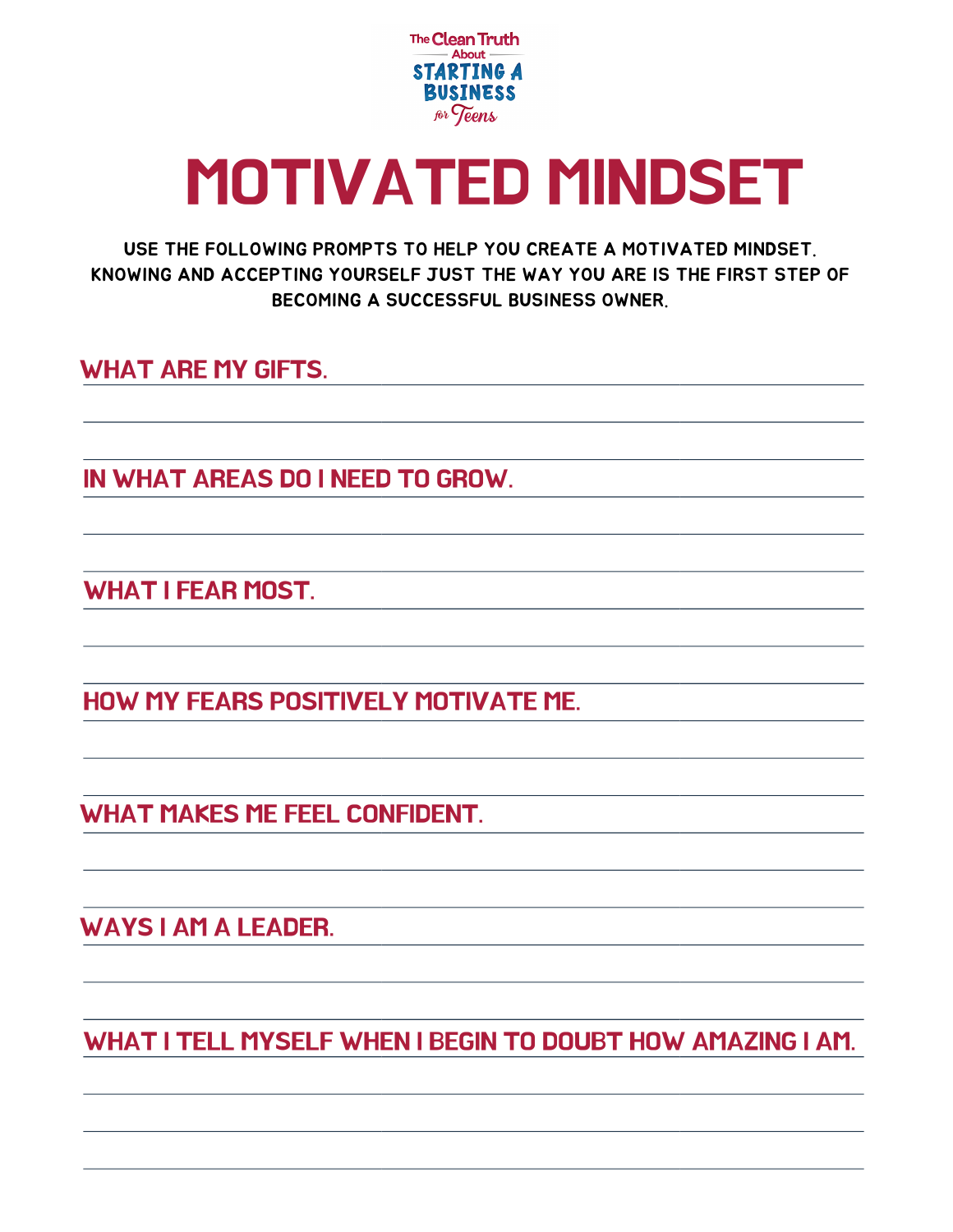

## MOTIVATED MINDSET

USE THE FOLLOWING PROMPTS TO HELP YOU CREATE A MOTIVATED MINDSET. KNOWING AND ACCEPTING YOURSELF JUST THE WAY YOU ARE IS THE FIRST STEP OF BECOMING A SUCCESSFUL BUSINESS OWNER.

WHAT ARE MY GIFTS.

IN WHAT AREAS DO I NEED TO GROW.

WHAT I FEAR MOST.

HOW MY FEARS POSITIVELY MOTIVATE ME.

WHAT MAKES ME FEEL CONFIDENT.

WAYS I AM A LEADER.

WHAT I TELL MYSELF WHEN I BEGIN TO DOUBT HOW AMAZING I AM.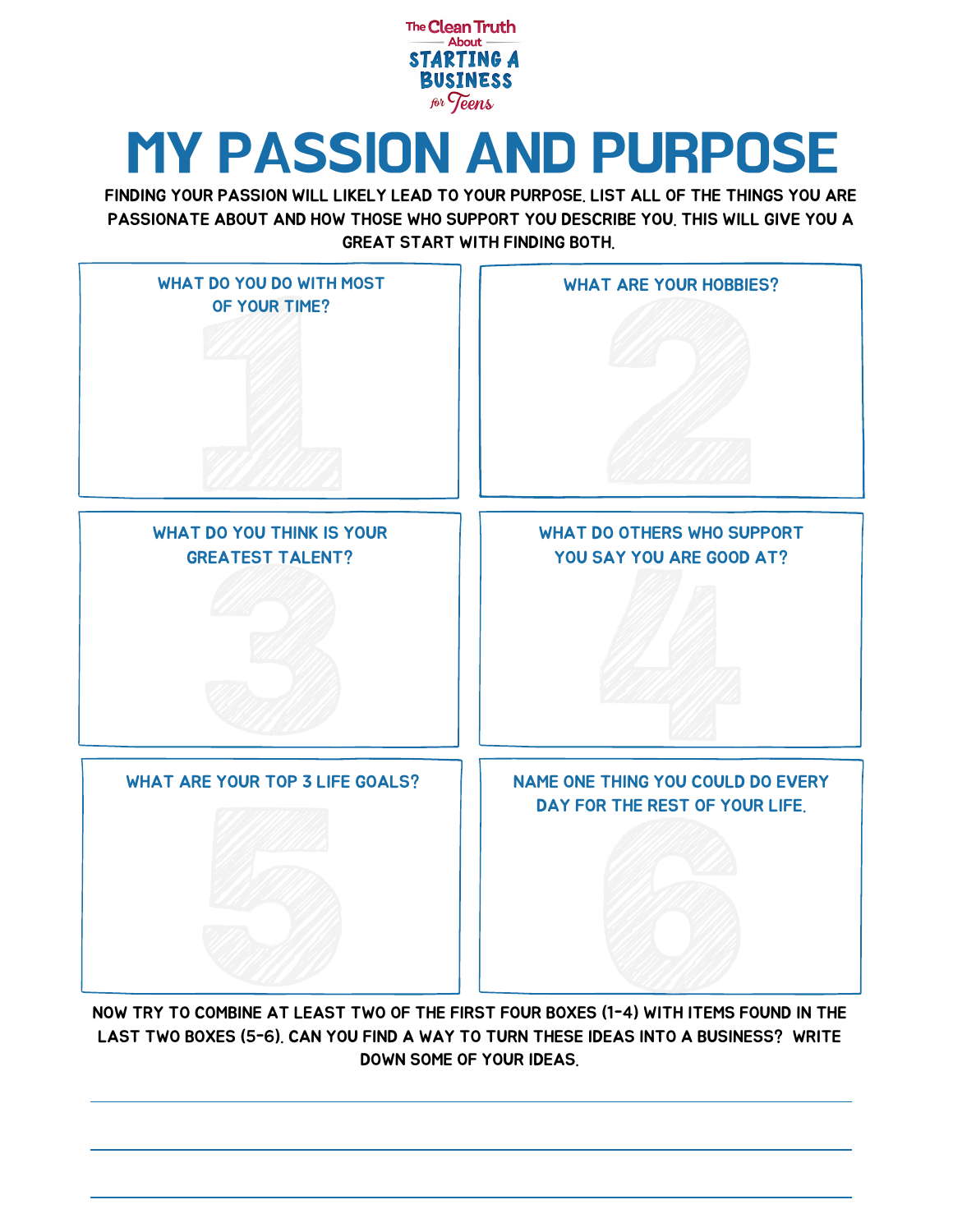

### MY PASSION AND PURPOSE

FINDING YOUR PASSION WILL LIKELY LEAD TO YOUR PURPOSE. LIST ALL OF THE THINGS YOU ARE PASSIONATE ABOUT AND HOW THOSE WHO SUPPORT YOU DESCRIBE YOU. THIS WILL GIVE YOU A GREAT START WITH FINDING BOTH.



NOW TRY TO COMBINE AT LEAST TWO OF THE FIRST FOUR BOXES (1-4) WITH ITEMS FOUND IN THE LAST TWO BOXES (5-6). CAN YOU FIND A WAY TO TURN THESE IDEAS INTO A BUSINESS? WRITE DOWN SOME OF YOUR IDEAS.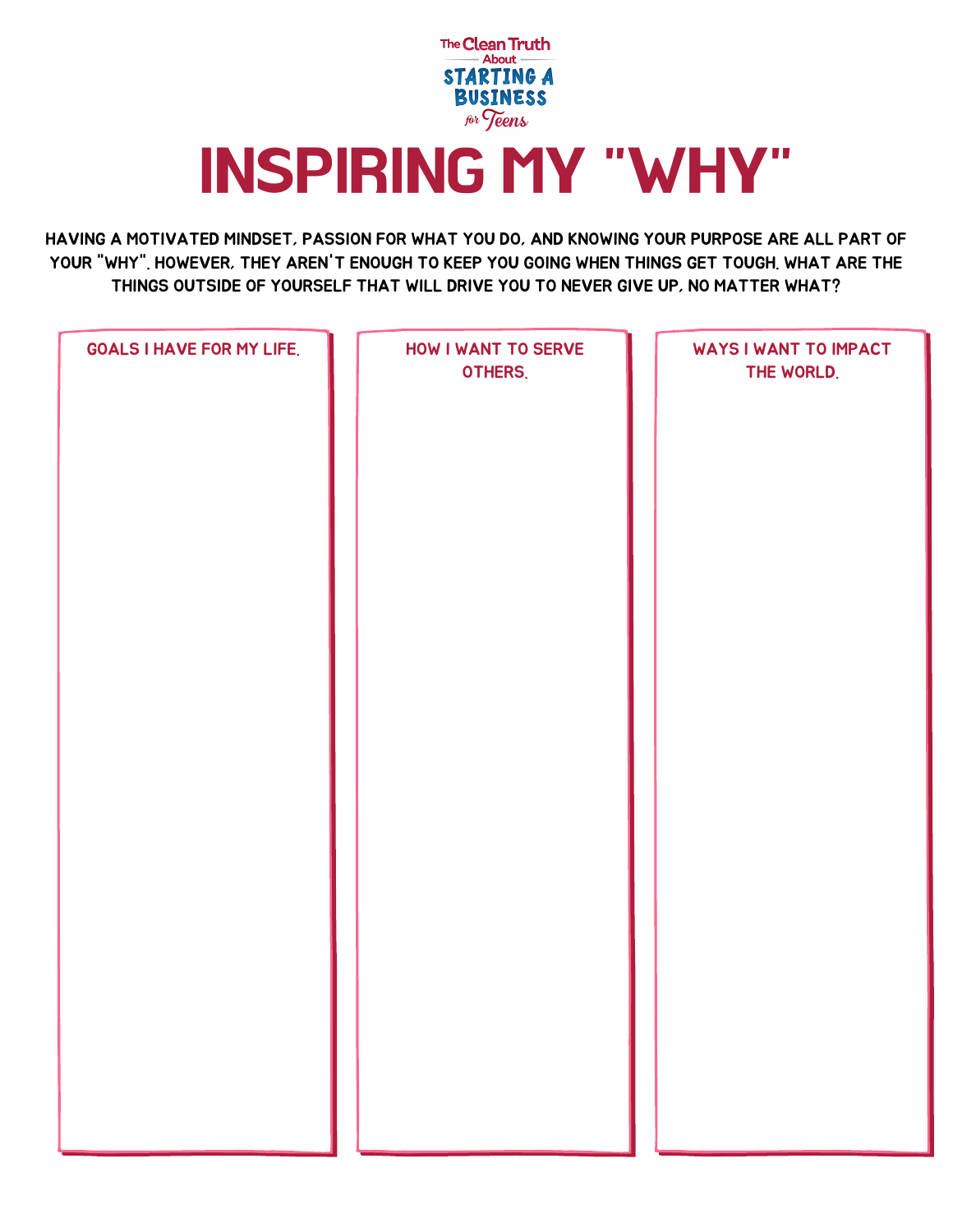

### INSPIRING MY "WHY"

HAVING A MOTIVATED MINDSET, PASSION FOR WHAT YOU DO, AND KNOWING YOUR PURPOSE ARE ALL PART OF YOUR "WHY". HOWEVER, THEY AREN'T ENOUGH TO KEEP YOU GOING WHEN THINGS GET TOUGH. WHAT ARE THE THINGS OUTSIDE OF YOURSELF THAT WILL DRIVE YOU TO NEVER GIVE UP, NO MATTER WHAT?

|--|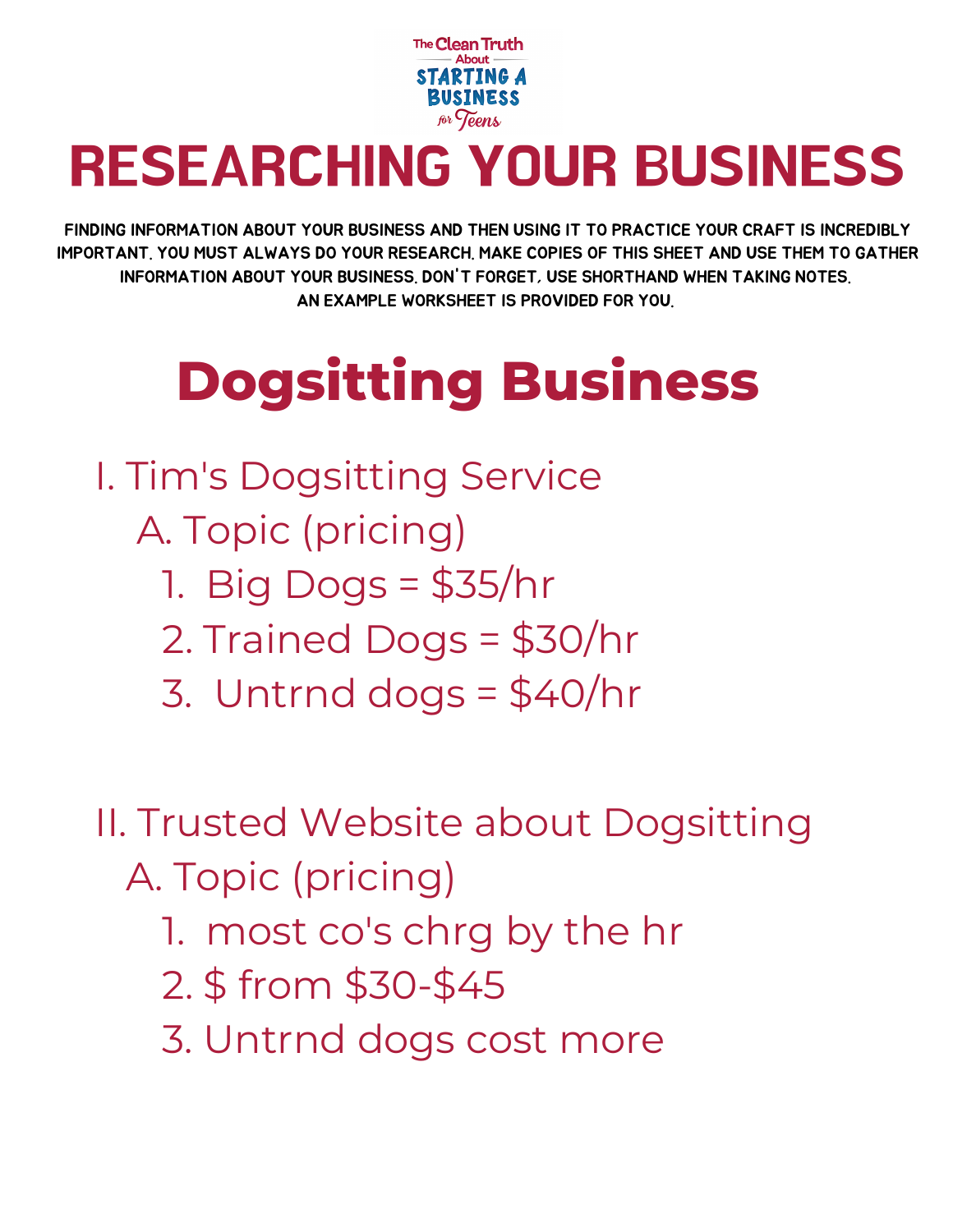

### RESEARCHING YOUR BUSINESS

FINDING INFORMATION ABOUT YOUR BUSINESS AND THEN USING IT TO PRACTICE YOUR CRAFT IS INCREDIBLY IMPORTANT. YOU MUST ALWAYS DO YOUR RESEARCH. MAKE COPIES OF THIS SHEET AND USE THEM TO GATHER INFORMATION ABOUT YOUR BUSINESS. DON'T FORGET, USE SHORTHAND WHEN TAKING NOTES. AN EXAMPLE WORKSHEET IS PROVIDED FOR YOU.

## **Dogsitting Business**

- I. Tim's Dogsitting Service
	- A. Topic (pricing)
		- 1. Big Dogs = \$35/hr
		- 2. Trained Dogs = \$30/hr
		- 3. Untrnd dogs = \$40/hr
- II. Trusted Website about Dogsitting A. Topic (pricing)
	- 1. most co's chrg by the hr
	- 2. \$ from \$30-\$45
	- 3. Untrnd dogs cost more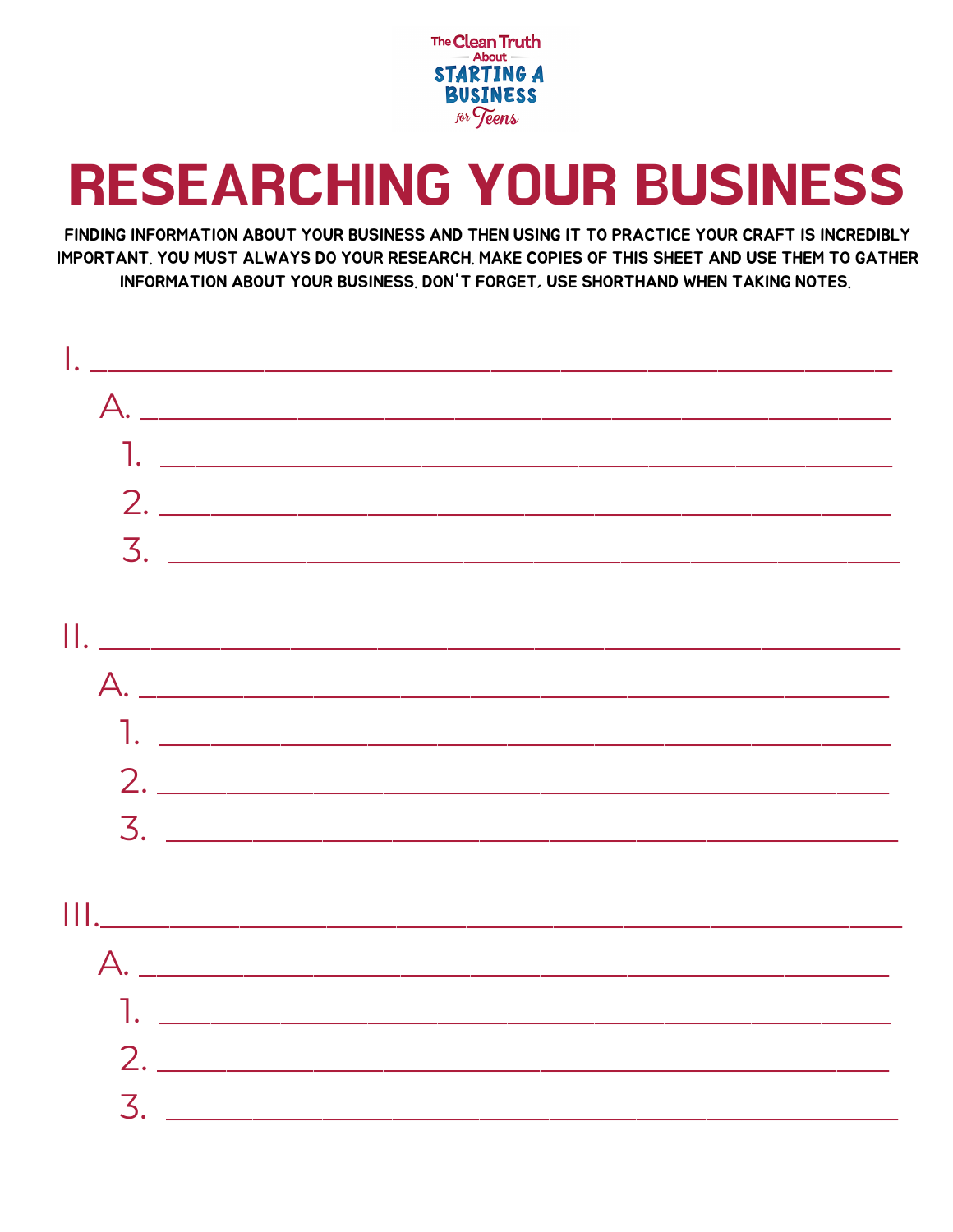

### **RESEARCHING YOUR BUSINESS**

FINDING INFORMATION ABOUT YOUR BUSINESS AND THEN USING IT TO PRACTICE YOUR CRAFT IS INCREDIBLY IMPORTANT, YOU MUST ALWAYS DO YOUR RESEARCH, MAKE COPIES OF THIS SHEET AND USE THEM TO GATHER INFORMATION ABOUT YOUR BUSINESS, DON'T FORGET, USE SHORTHAND WHEN TAKING NOTES.

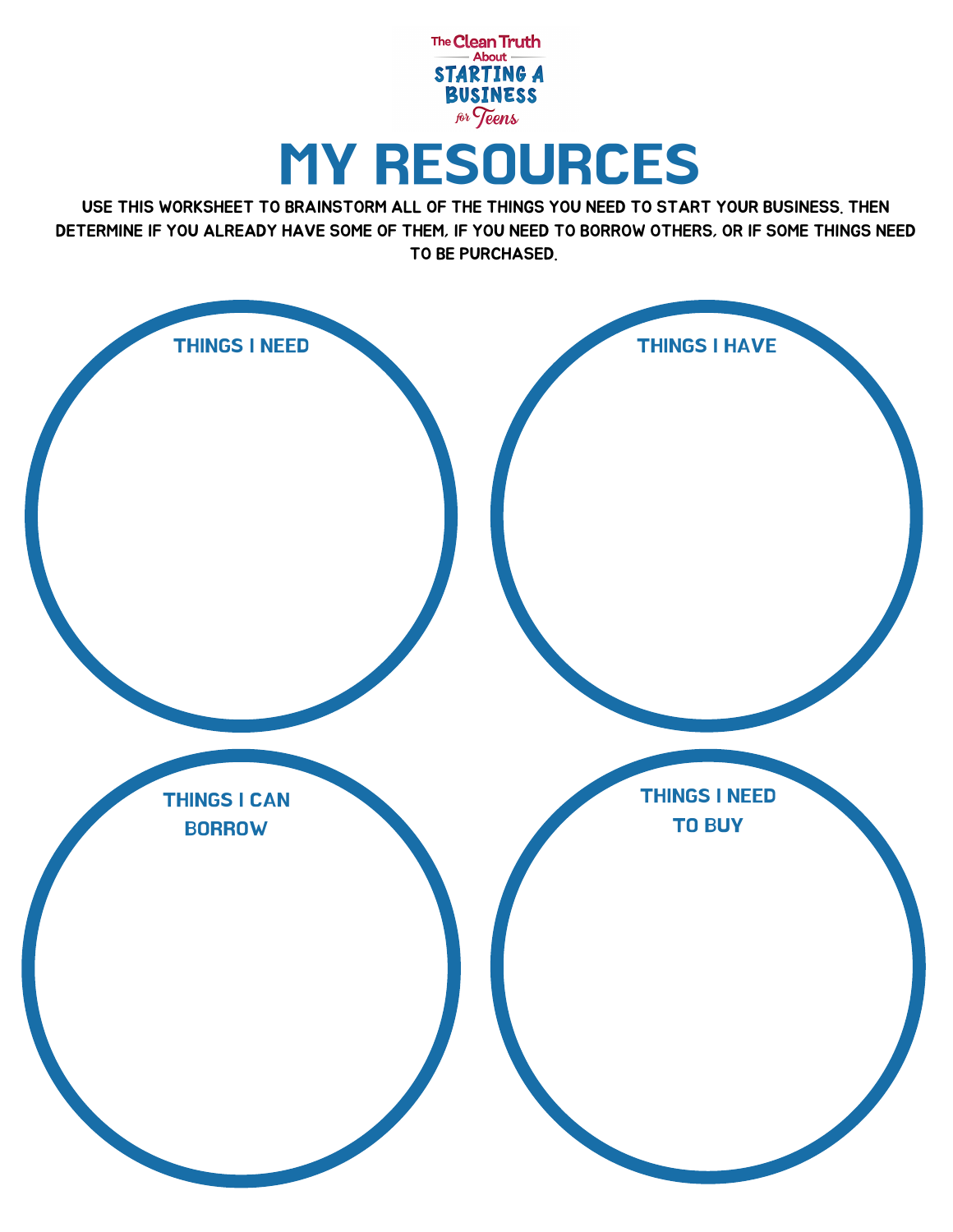

USE THIS WORKSHEET TO BRAINSTORM ALL OF THE THINGS YOU NEED TO START YOUR BUSINESS. THEN DETERMINE IF YOU ALREADY HAVE SOME OF THEM, IF YOU NEED TO BORROW OTHERS, OR IF SOME THINGS NEED TO BE PURCHASED.

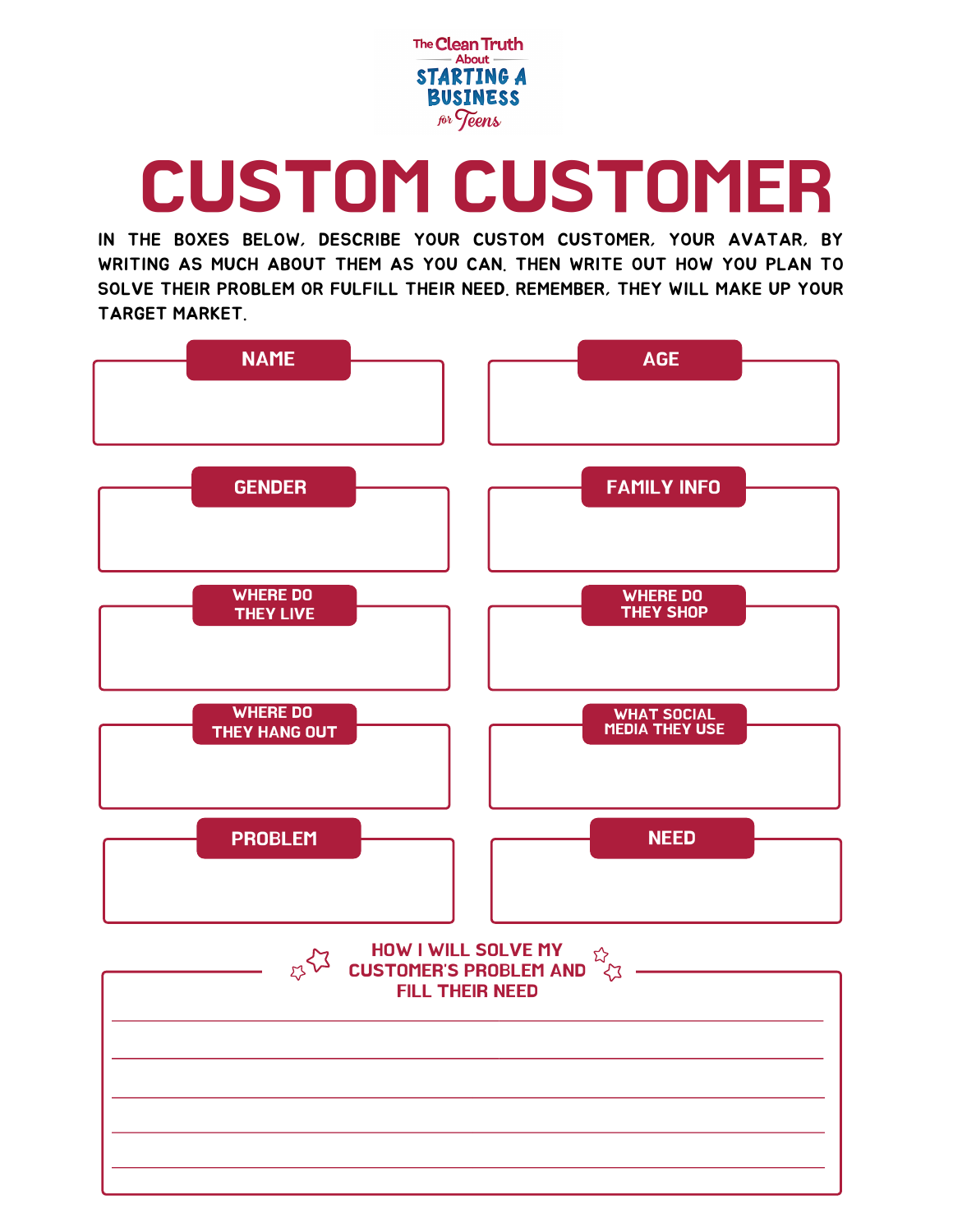

# CUSTOM CUSTOMER

IN THE BOXES BELOW, DESCRIBE YOUR CUSTOM CUSTOMER, YOUR AVATAR, BY WRITING AS MUCH ABOUT THEM AS YOU CAN. THEN WRITE OUT HOW YOU PLAN TO SOLVE THEIR PROBLEM OR FULFILL THEIR NEED. REMEMBER, THEY WILL MAKE UP YOUR TARGET MARKET.

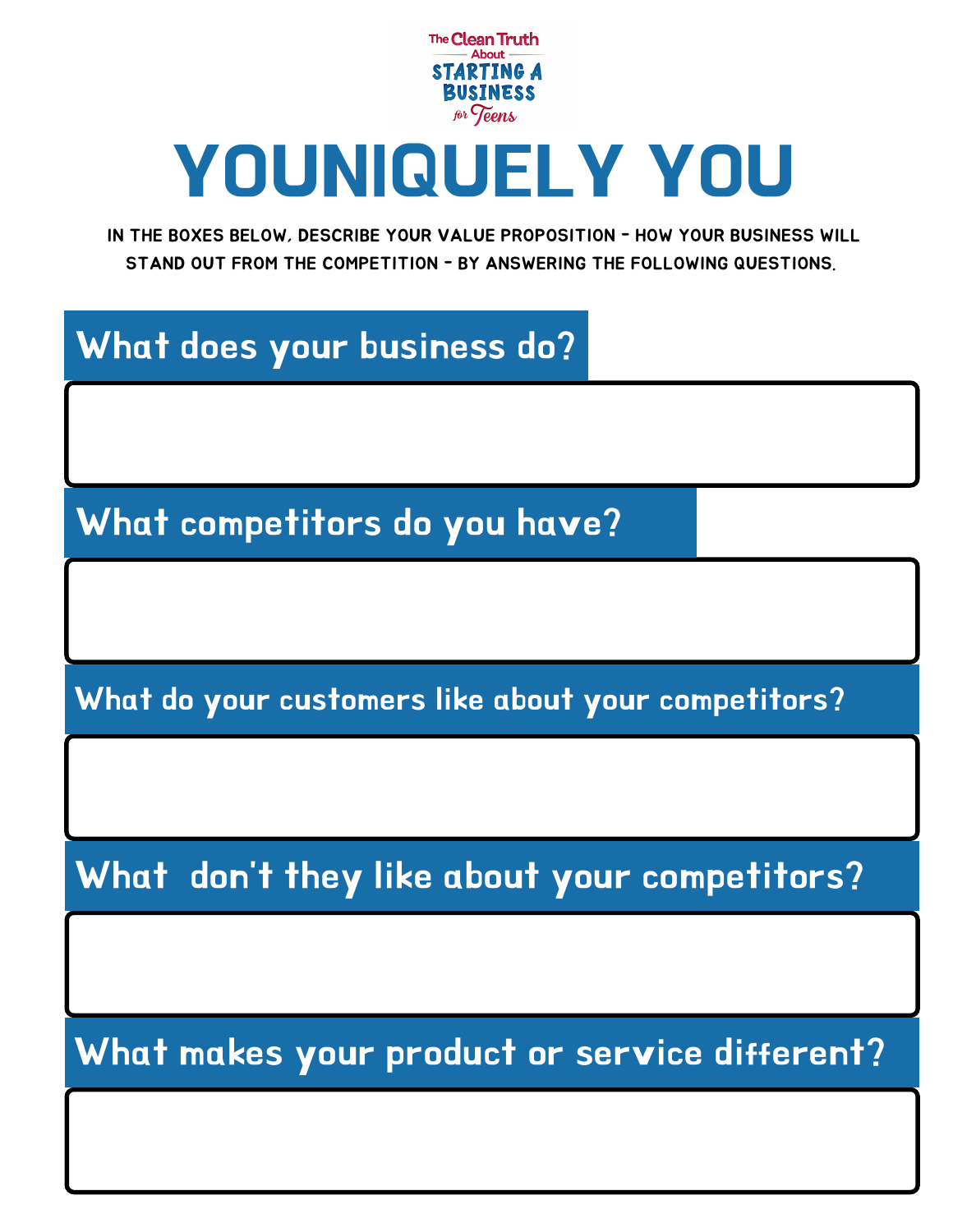

# YOUNIQUELY YOU

IN THE BOXES BELOW, DESCRIBE YOUR VALUE PROPOSITION - HOW YOUR BUSINESS WILL STAND OUT FROM THE COMPETITION - BY ANSWERING THE FOLLOWING QUESTIONS.

### What does your business do?

What competitors do you have?

What do your customers like about your competitors?

What don't they like about your competitors?

What makes your product or service different?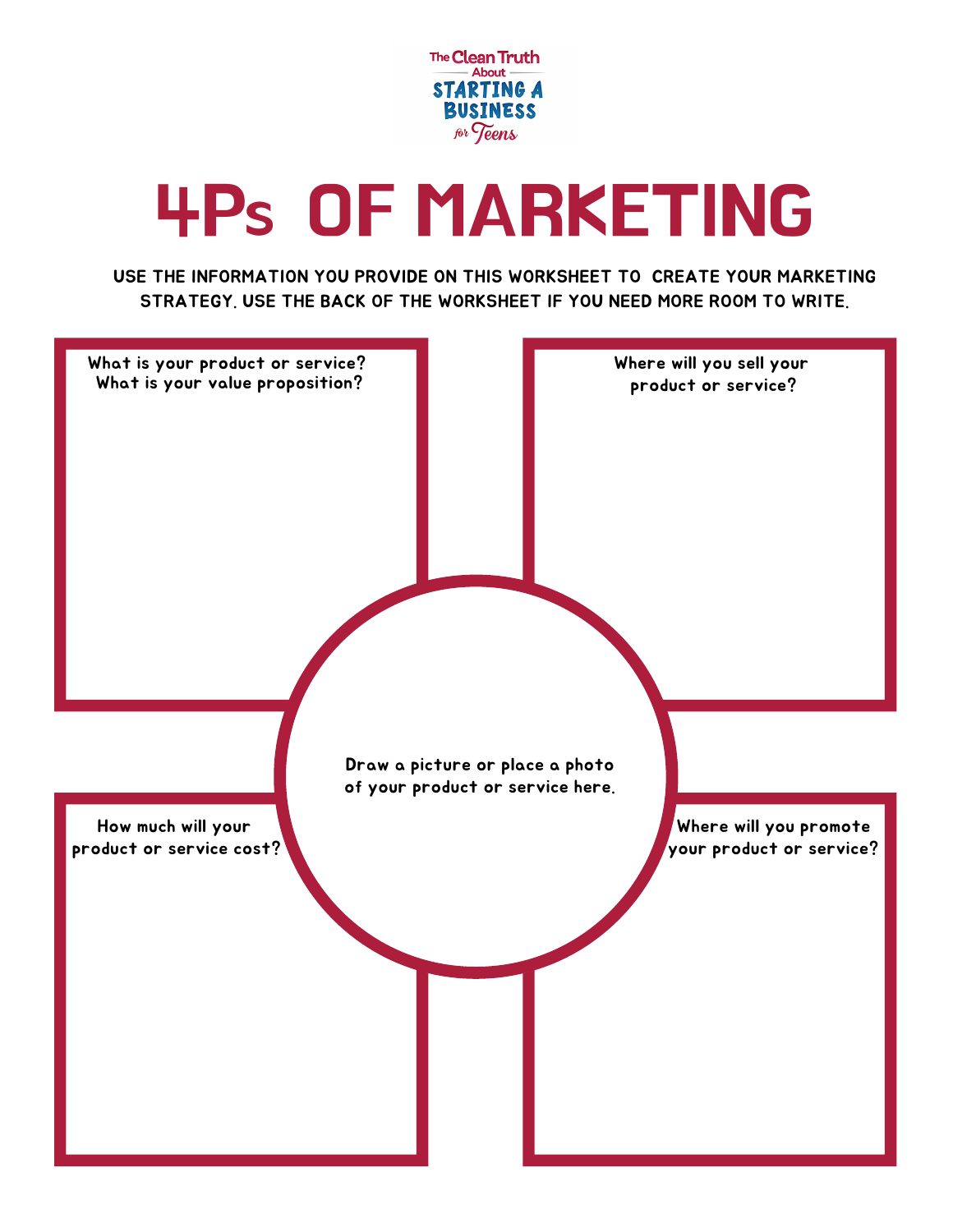

# 4P<sup>S</sup> OF MARKETING

USE THE INFORMATION YOU PROVIDE ON THIS WORKSHEET TO CREATE YOUR MARKETING STRATEGY. USE THE BACK OF THE WORKSHEET IF YOU NEED MORE ROOM TO WRITE.

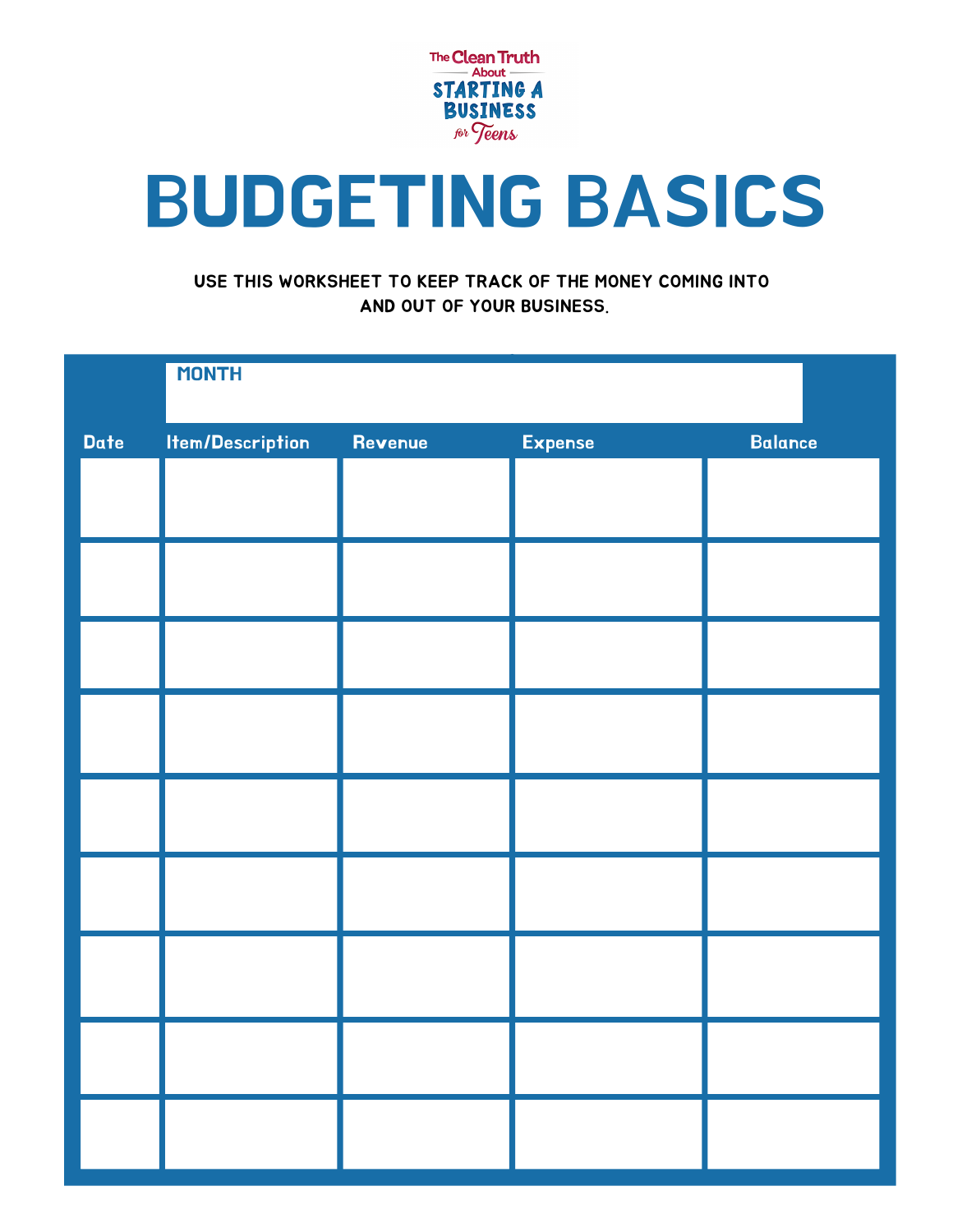

# BUDGETING BASICS

#### USE THIS WORKSHEET TO KEEP TRACK OF THE MONEY COMING INTO AND OUT OF YOUR BUSINESS.

|      | <b>MONTH</b>            |         |         |                |
|------|-------------------------|---------|---------|----------------|
| Date | <b>Item/Description</b> | Revenue | Expense | <b>Balance</b> |
|      |                         |         |         |                |
|      |                         |         |         |                |
|      |                         |         |         |                |
|      |                         |         |         |                |
|      |                         |         |         |                |
|      |                         |         |         |                |
|      |                         |         |         |                |
|      |                         |         |         |                |
|      |                         |         |         |                |
|      |                         |         |         |                |